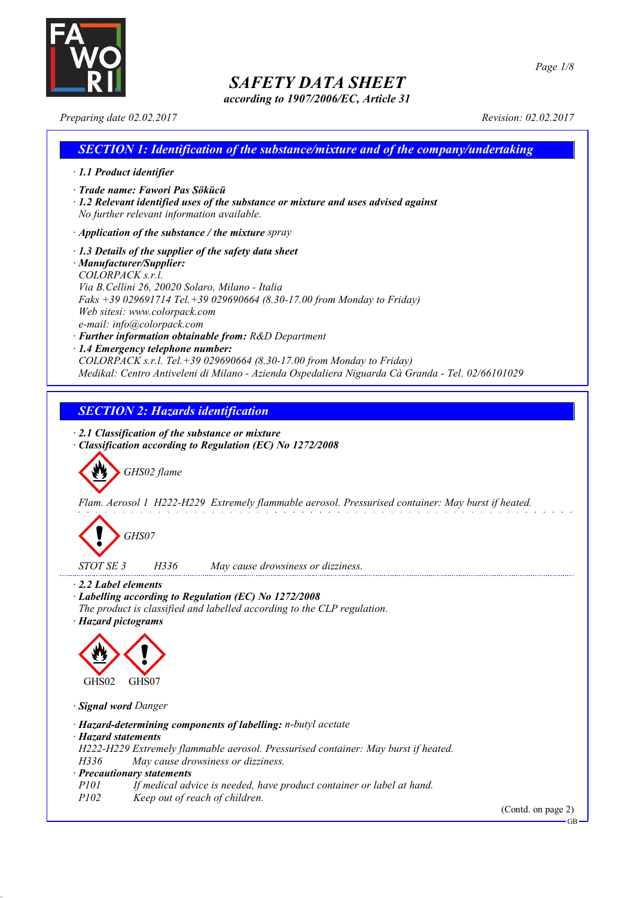

*according to 1907/2006/EC, Article 31*

*Page 1/8*

*Preparing date 02.02.2017 Revision: 02.02.2017*

| <b>SECTION 1: Identification of the substance/mixture and of the company/undertaking</b>                                                                                                                                                                                                                                                                                                                                                                                                                                                                                               |
|----------------------------------------------------------------------------------------------------------------------------------------------------------------------------------------------------------------------------------------------------------------------------------------------------------------------------------------------------------------------------------------------------------------------------------------------------------------------------------------------------------------------------------------------------------------------------------------|
| $\cdot$ 1.1 Product identifier                                                                                                                                                                                                                                                                                                                                                                                                                                                                                                                                                         |
| · Trade name: Fawori Pas Sökücü<br>$\cdot$ 1.2 Relevant identified uses of the substance or mixture and uses advised against<br>No further relevant information available.                                                                                                                                                                                                                                                                                                                                                                                                             |
| $\cdot$ Application of the substance / the mixture spray                                                                                                                                                                                                                                                                                                                                                                                                                                                                                                                               |
| $\cdot$ 1.3 Details of the supplier of the safety data sheet<br>· Manufacturer/Supplier:<br>COLORPACK s.r.l.<br>Via B.Cellini 26, 20020 Solaro, Milano - Italia<br>Faks +39 029691714 Tel. +39 029690664 (8.30-17.00 from Monday to Friday)<br>Web sitesi: www.colorpack.com<br>e-mail: info@colorpack.com<br>· Further information obtainable from: R&D Department<br>· 1.4 Emergency telephone number:<br>COLORPACK s.r.l. Tel. +39 029690664 (8.30-17.00 from Monday to Friday)<br>Medikal: Centro Antiveleni di Milano - Azienda Ospedaliera Niguarda Cà Granda - Tel. 02/66101029 |
|                                                                                                                                                                                                                                                                                                                                                                                                                                                                                                                                                                                        |
| <b>SECTION 2: Hazards identification</b>                                                                                                                                                                                                                                                                                                                                                                                                                                                                                                                                               |
| $\cdot$ 2.1 Classification of the substance or mixture<br><b>Classification according to Regulation (EC) No 1272/2008</b><br>GHS02 flame<br>Flam. Aerosol 1 H222-H229 Extremely flammable aerosol. Pressurised container: May burst if heated.<br>GHS07<br>H336<br>STOT SE 3                                                                                                                                                                                                                                                                                                           |
| May cause drowsiness or dizziness.                                                                                                                                                                                                                                                                                                                                                                                                                                                                                                                                                     |
| 2.2 Label elements<br>· Labelling according to Regulation (EC) No 1272/2008<br>The product is classified and labelled according to the CLP regulation.<br>· Hazard pictograms<br>GHS02<br>GHS07                                                                                                                                                                                                                                                                                                                                                                                        |
| · Signal word Danger                                                                                                                                                                                                                                                                                                                                                                                                                                                                                                                                                                   |
| · Hazard-determining components of labelling: n-butyl acetate<br>· Hazard statements<br>H222-H229 Extremely flammable aerosol. Pressurised container: May burst if heated.<br>H336<br>May cause drowsiness or dizziness.<br>· Precautionary statements<br><i>P101</i><br>If medical advice is needed, have product container or label at hand.<br>P102<br>Keep out of reach of children.<br>(Contd. on page 2)                                                                                                                                                                         |
| $GB -$                                                                                                                                                                                                                                                                                                                                                                                                                                                                                                                                                                                 |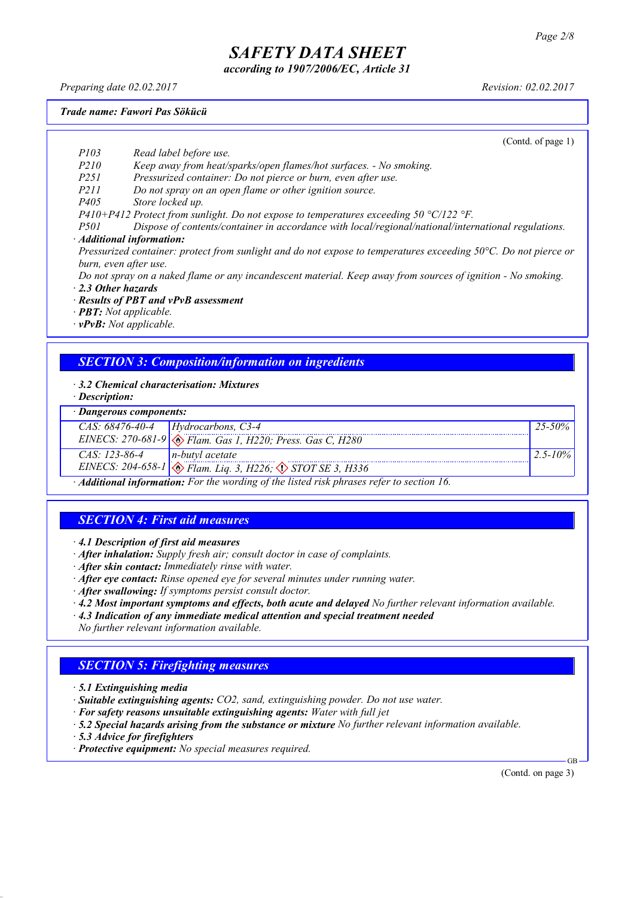*according to 1907/2006/EC, Article 31*

*Preparing date 02.02.2017 Revision: 02.02.2017*

*Trade name: Fawori Pas Sökücü*

(Contd. of page 1)

- *P103 Read label before use.*
- *P210 Keep away from heat/sparks/open flames/hot surfaces. - No smoking.*
- *P251 Pressurized container: Do not pierce or burn, even after use.*
- *P211 Do not spray on an open flame or other ignition source.*
- *P405 Store locked up.*
- *P410+P412 Protect from sunlight. Do not expose to temperatures exceeding 50 °C/122 °F.*
- *P501 Dispose of contents/container in accordance with local/regional/national/international regulations.*
- *· Additional information:*

Pressurized container: protect from sunlight and do not expose to temperatures exceeding 50°C. Do not pierce or *burn, even after use.*

Do not spray on a naked flame or any incandescent material. Keep away from sources of ignition - No smoking.

- *· 2.3 Other hazards*
- *· Results of PBT and vPvB assessment*
- *· PBT: Not applicable.*
- *· vPvB: Not applicable.*

### *SECTION 3: Composition/information on ingredients*

- *· 3.2 Chemical characterisation: Mixtures*
- *· Description:*

#### *· Dangerous components:*

| Dungerous components. |                                                                                           |              |
|-----------------------|-------------------------------------------------------------------------------------------|--------------|
|                       | CAS: $68476-40-4$ Hydrocarbons, C3-4                                                      | $25 - 50\%$  |
|                       | EINECS: 270-681-9 $\bigotimes$ Flam. Gas 1, H220; Press. Gas C, H280                      |              |
| $CAS: 123-86-4$       | $n$ -butyl acetate                                                                        | $2.5 - 10\%$ |
|                       | EINECS: 204-658-1 $\otimes$ Flam. Liq. 3, H226; $\otimes$ STOT SE 3, H336                 |              |
|                       | · Additional information: For the wording of the listed risk phrases refer to section 16. |              |

## *SECTION 4: First aid measures*

*· 4.1 Description of first aid measures*

- *· After inhalation: Supply fresh air; consult doctor in case of complaints.*
- *· After skin contact: Immediately rinse with water.*
- *· After eye contact: Rinse opened eye for several minutes under running water.*
- *· After swallowing: If symptoms persist consult doctor.*
- *· 4.2 Most important symptoms and effects, both acute and delayed No further relevant information available.*
- *· 4.3 Indication of any immediate medical attention and special treatment needed*
- *No further relevant information available.*

### *SECTION 5: Firefighting measures*

- *· 5.1 Extinguishing media*
- *· Suitable extinguishing agents: CO2, sand, extinguishing powder. Do not use water.*
- *· For safety reasons unsuitable extinguishing agents: Water with full jet*
- *· 5.2 Special hazards arising from the substance or mixture No further relevant information available.*
- *· 5.3 Advice for firefighters*
- *· Protective equipment: No special measures required.*

(Contd. on page 3)

GB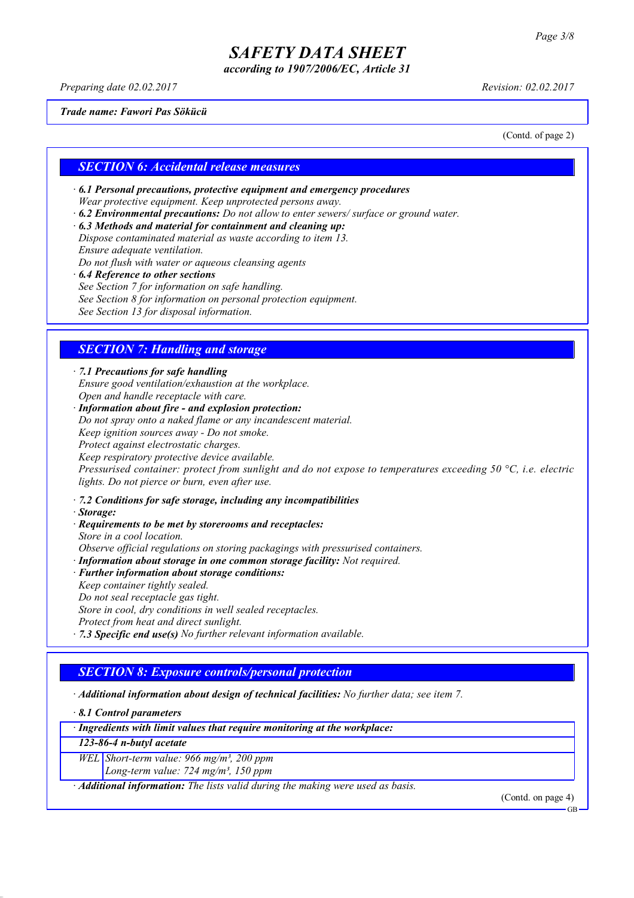*according to 1907/2006/EC, Article 31*

*Preparing date 02.02.2017 Revision: 02.02.2017*

*Trade name: Fawori Pas Sökücü*

(Contd. of page 2)

#### *SECTION 6: Accidental release measures*

*· 6.1 Personal precautions, protective equipment and emergency procedures Wear protective equipment. Keep unprotected persons away.*

- *· 6.2 Environmental precautions: Do not allow to enter sewers/ surface or ground water.*
- *· 6.3 Methods and material for containment and cleaning up: Dispose contaminated material as waste according to item 13. Ensure adequate ventilation.*

*Do not flush with water or aqueous cleansing agents*

- *· 6.4 Reference to other sections*
- *See Section 7 for information on safe handling.*
- *See Section 8 for information on personal protection equipment.*

*See Section 13 for disposal information.*

### *SECTION 7: Handling and storage*

*· 7.1 Precautions for safe handling Ensure good ventilation/exhaustion at the workplace. Open and handle receptacle with care.*

*· Information about fire - and explosion protection: Do not spray onto a naked flame or any incandescent material. Keep ignition sources away - Do not smoke. Protect against electrostatic charges. Keep respiratory protective device available. Pressurised container: protect from sunlight and do not expose to temperatures exceeding 50 °C, i.e. electric lights. Do not pierce or burn, even after use.*

- *· 7.2 Conditions for safe storage, including any incompatibilities*
- *· Storage:*
- *· Requirements to be met by storerooms and receptacles:*
- *Store in a cool location. Observe official regulations on storing packagings with pressurised containers.*
- *· Information about storage in one common storage facility: Not required.*
- *· Further information about storage conditions:*
- *Keep container tightly sealed.*
- *Do not seal receptacle gas tight.*
- *Store in cool, dry conditions in well sealed receptacles.*
- *Protect from heat and direct sunlight.*
- *· 7.3 Specific end use(s) No further relevant information available.*

### *SECTION 8: Exposure controls/personal protection*

- *· Additional information about design of technical facilities: No further data; see item 7.*
- *· 8.1 Control parameters*

*· Ingredients with limit values that require monitoring at the workplace:*

*123-86-4 n-butyl acetate*

*WEL Short-term value: 966 mg/m³, 200 ppm*

*Long-term value: 724 mg/m³, 150 ppm*

*· Additional information: The lists valid during the making were used as basis.*

(Contd. on page 4)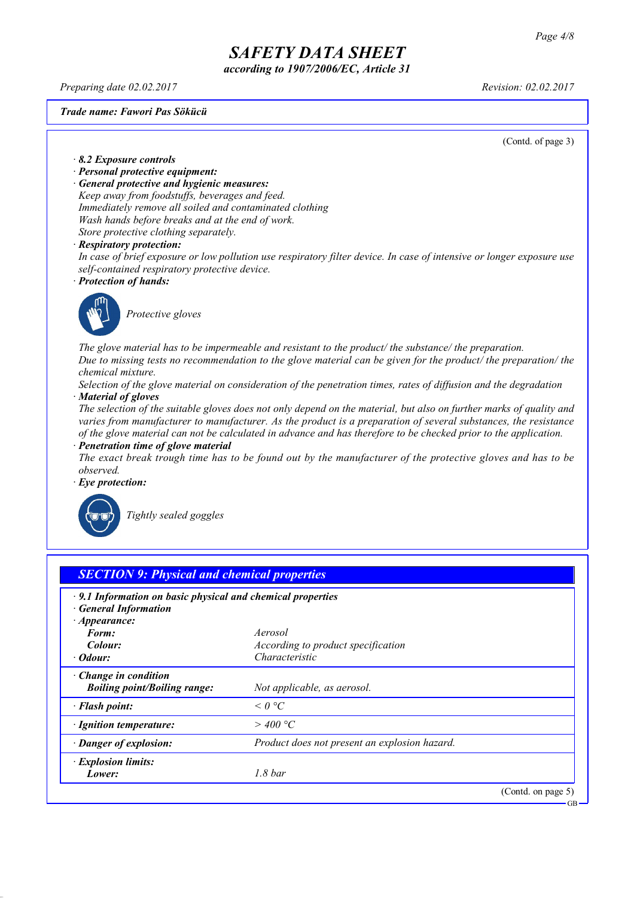*according to 1907/2006/EC, Article 31*

*Preparing date 02.02.2017 Revision: 02.02.2017*

*Trade name: Fawori Pas Sökücü*

(Contd. of page 3)

*· 8.2 Exposure controls*

- *· Personal protective equipment:*
- *· General protective and hygienic measures:*

*Keep away from foodstuffs, beverages and feed. Immediately remove all soiled and contaminated clothing Wash hands before breaks and at the end of work. Store protective clothing separately.*

#### *· Respiratory protection:*

In case of brief exposure or low pollution use respiratory filter device. In case of intensive or longer exposure use *self-contained respiratory protective device.*

*· Protection of hands:*



*Protective gloves*

*The glove material has to be impermeable and resistant to the product/ the substance/ the preparation.* Due to missing tests no recommendation to the glove material can be given for the product/ the preparation/ the *chemical mixture.*

Selection of the glove material on consideration of the penetration times, rates of diffusion and the degradation *· Material of gloves*

The selection of the suitable gloves does not only depend on the material, but also on further marks of quality and *varies from manufacturer to manufacturer. As the product is a preparation of several substances, the resistance* of the glove material can not be calculated in advance and has therefore to be checked prior to the application.

*· Penetration time of glove material* The exact break trough time has to be found out by the manufacturer of the protective gloves and has to be *observed.*

*· Eye protection:*



*Tightly sealed goggles*

| <b>SECTION 9: Physical and chemical properties</b>                |                                               |                       |
|-------------------------------------------------------------------|-----------------------------------------------|-----------------------|
| $\cdot$ 9.1 Information on basic physical and chemical properties |                                               |                       |
| <b>General Information</b><br>$\cdot$ Appearance:                 |                                               |                       |
| Form:                                                             | Aerosol                                       |                       |
| Colour:                                                           | According to product specification            |                       |
| · Odour:                                                          | Characteristic                                |                       |
| $\cdot$ Change in condition                                       |                                               |                       |
| <b>Boiling point/Boiling range:</b>                               | Not applicable, as aerosol.                   |                       |
| · Flash point:                                                    | $\leq$ 0 °C                                   |                       |
| · Ignition temperature:                                           | $>$ 400 °C                                    |                       |
| · Danger of explosion:                                            | Product does not present an explosion hazard. |                       |
| · Explosion limits:                                               |                                               |                       |
| Lower:                                                            | 1.8 <sub>bar</sub>                            |                       |
|                                                                   |                                               | (Contd. on page $5$ ) |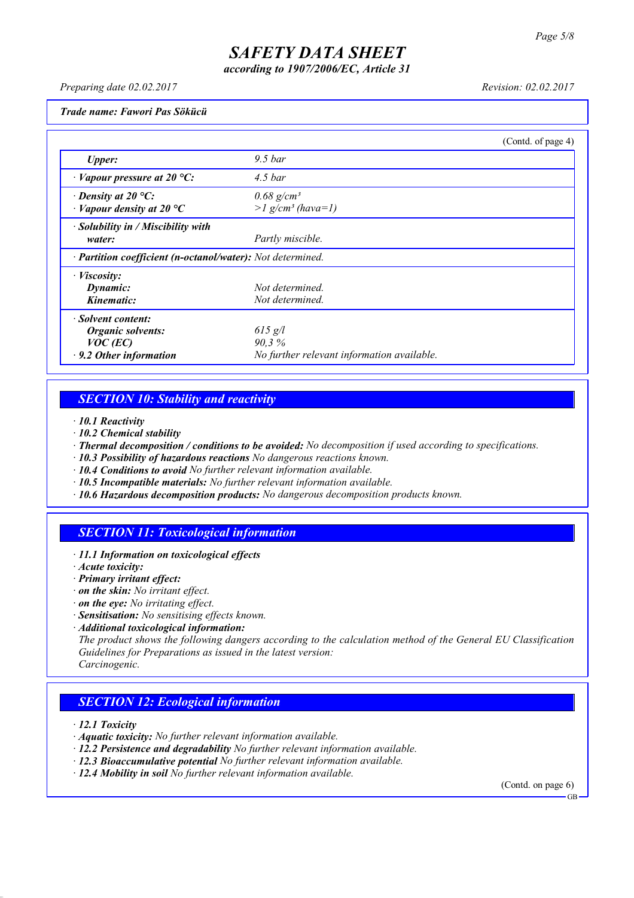*according to 1907/2006/EC, Article 31*

*Preparing date 02.02.2017 Revision: 02.02.2017*

*Trade name: Fawori Pas Sökücü*

|                                                            |                                            | (Contd. of page 4) |
|------------------------------------------------------------|--------------------------------------------|--------------------|
| <b>Upper:</b>                                              | $9.5\,bar$                                 |                    |
| $\cdot$ Vapour pressure at 20 °C:                          | $4.5\,bar$                                 |                    |
| $\cdot$ Density at 20 °C:                                  | $0.68$ g/cm <sup>3</sup>                   |                    |
| $\cdot$ Vapour density at 20 $\rm{^{\circ}C}$              | $>l$ g/cm <sup>3</sup> (hava=1)            |                    |
| · Solubility in / Miscibility with                         |                                            |                    |
| water:                                                     | Partly miscible.                           |                    |
| · Partition coefficient (n-octanol/water): Not determined. |                                            |                    |
| $\cdot$ <i>Viscosity:</i>                                  |                                            |                    |
| Dynamic:                                                   | Not determined.                            |                    |
| Kinematic:                                                 | Not determined.                            |                    |
| · Solvent content:                                         |                                            |                    |
| <b>Organic solvents:</b>                                   | $615$ g/l                                  |                    |
| $VOC$ (EC)                                                 | 90,3%                                      |                    |
| $\cdot$ 9.2 Other information                              | No further relevant information available. |                    |

## *SECTION 10: Stability and reactivity*

*· 10.1 Reactivity*

- *· 10.2 Chemical stability*
- *· Thermal decomposition / conditions to be avoided: No decomposition if used according to specifications.*
- *· 10.3 Possibility of hazardous reactions No dangerous reactions known.*
- *· 10.4 Conditions to avoid No further relevant information available.*
- *· 10.5 Incompatible materials: No further relevant information available.*
- *· 10.6 Hazardous decomposition products: No dangerous decomposition products known.*

### *SECTION 11: Toxicological information*

*· 11.1 Information on toxicological effects*

*· Acute toxicity:*

- *· Primary irritant effect:*
- *· on the skin: No irritant effect.*
- *· on the eye: No irritating effect.*
- *· Sensitisation: No sensitising effects known.*
- *· Additional toxicological information:*

*The product shows the following dangers according to the calculation method of the General EU Classification Guidelines for Preparations as issued in the latest version:*

*Carcinogenic.*

### *SECTION 12: Ecological information*

*· 12.1 Toxicity*

- *· Aquatic toxicity: No further relevant information available.*
- *· 12.2 Persistence and degradability No further relevant information available.*
- *· 12.3 Bioaccumulative potential No further relevant information available.*
- *· 12.4 Mobility in soil No further relevant information available.*

(Contd. on page 6) GB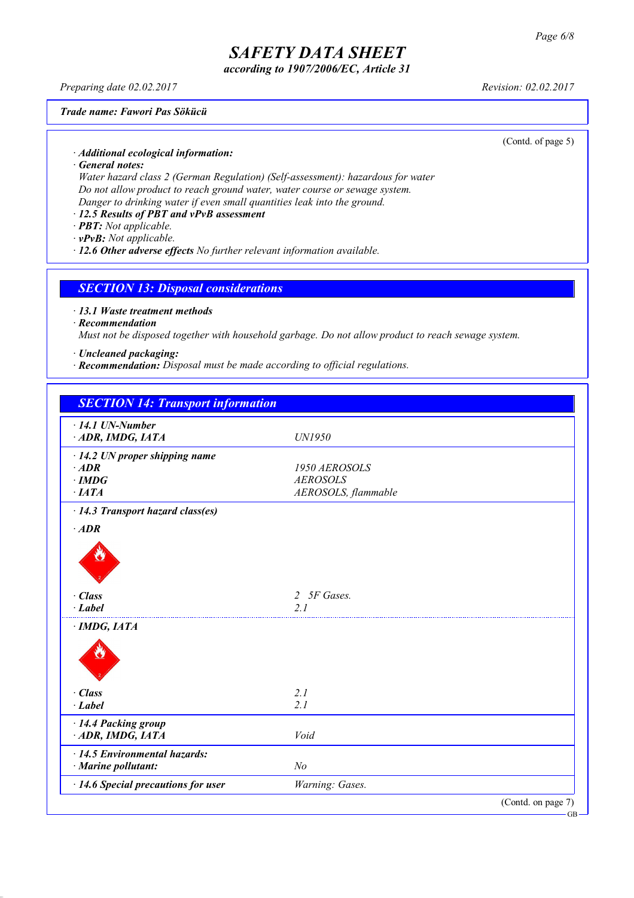*according to 1907/2006/EC, Article 31*

*Preparing date 02.02.2017 Revision: 02.02.2017*

#### *Trade name: Fawori Pas Sökücü*

(Contd. of page 5)

- *· Additional ecological information:*
- *· General notes:*

*Water hazard class 2 (German Regulation) (Self-assessment): hazardous for water Do not allow product to reach ground water, water course or sewage system. Danger to drinking water if even small quantities leak into the ground.*

- *· 12.5 Results of PBT and vPvB assessment*
- *· PBT: Not applicable.*
- *· vPvB: Not applicable.*
- *· 12.6 Other adverse effects No further relevant information available.*

### *SECTION 13: Disposal considerations*

*· 13.1 Waste treatment methods*

*· Recommendation*

*Must not be disposed together with household garbage. Do not allow product to reach sewage system.*

- *· Uncleaned packaging:*
- *· Recommendation: Disposal must be made according to official regulations.*

| <b>SECTION 14: Transport information</b> |                     |                    |
|------------------------------------------|---------------------|--------------------|
| $\cdot$ 14.1 UN-Number                   |                     |                    |
| ADR, IMDG, IATA                          | UN1950              |                    |
| $\cdot$ 14.2 UN proper shipping name     |                     |                    |
| $\cdot$ ADR                              | 1950 AEROSOLS       |                    |
| $\cdot$ IMDG                             | <b>AEROSOLS</b>     |                    |
| ·IATA                                    | AEROSOLS, flammable |                    |
| · 14.3 Transport hazard class(es)        |                     |                    |
| $·$ <i>ADR</i>                           |                     |                    |
|                                          |                     |                    |
| $\cdot$ Class                            | 2 5F Gases.         |                    |
| $\cdot$ Label                            | 2 <sub>1</sub>      |                    |
| · IMDG, IATA                             |                     |                    |
|                                          |                     |                    |
| $\cdot$ Class                            | 2.1                 |                    |
| $\cdot$ Label                            | 2.1                 |                    |
| · 14.4 Packing group                     |                     |                    |
| ADR, IMDG, IATA                          | Void                |                    |
| $\cdot$ 14.5 Environmental hazards:      |                     |                    |
| · Marine pollutant:                      | N <sub>o</sub>      |                    |
| · 14.6 Special precautions for user      | Warning: Gases.     |                    |
|                                          |                     | (Contd. on page 7) |

GB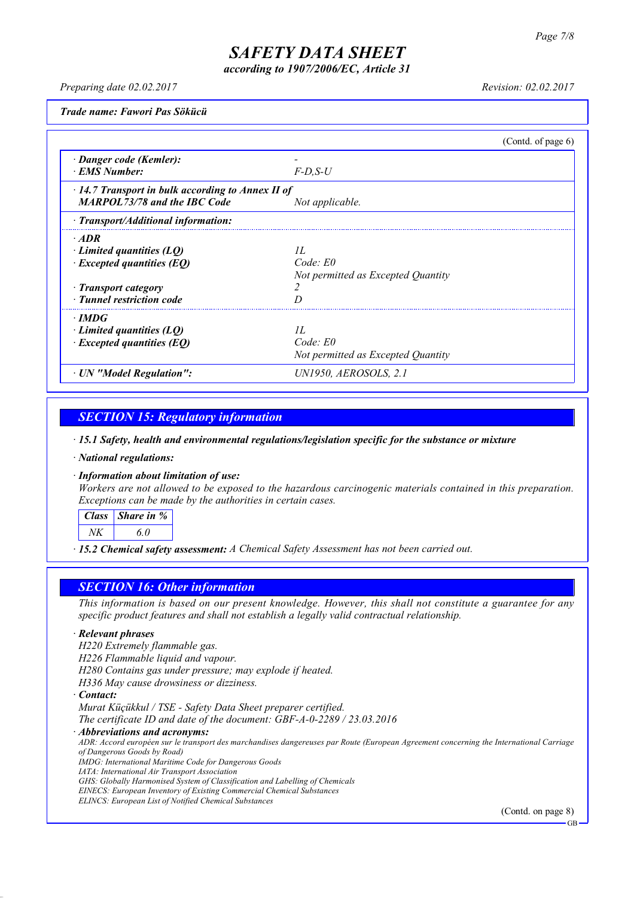*according to 1907/2006/EC, Article 31*

*Preparing date 02.02.2017 Revision: 02.02.2017*

*Trade name: Fawori Pas Sökücü*

|                                                         |                                    | (Contd. of page $6$ ) |
|---------------------------------------------------------|------------------------------------|-----------------------|
| · Danger code (Kemler):                                 |                                    |                       |
| <b>EMS Number:</b>                                      | $F$ -D.S-U                         |                       |
| $\cdot$ 14.7 Transport in bulk according to Annex II of |                                    |                       |
| <b>MARPOL73/78 and the IBC Code</b>                     | Not applicable.                    |                       |
| $\cdot$ Transport/Additional information:               |                                    |                       |
| $\cdot$ ADR                                             |                                    |                       |
| $\cdot$ Limited quantities (LQ)                         | II.                                |                       |
| $\cdot$ Excepted quantities (EQ)                        | Code: E0                           |                       |
|                                                         | Not permitted as Excepted Quantity |                       |
| · Transport category                                    |                                    |                       |
| · Tunnel restriction code                               |                                    |                       |
| $\cdot$ IMDG                                            |                                    |                       |
| Limited quantities (LO)                                 | II.                                |                       |
| $\cdot$ Excepted quantities (EQ)                        | $Code$ $E0$                        |                       |
|                                                         | Not permitted as Excepted Quantity |                       |
| · UN "Model Regulation":                                | UN1950, AEROSOLS, 2.1              |                       |

### *SECTION 15: Regulatory information*

*· 15.1 Safety, health and environmental regulations/legislation specific for the substance or mixture*

*· National regulations:*

*· Information about limitation of use:*

*Workers are not allowed to be exposed to the hazardous carcinogenic materials contained in this preparation. Exceptions can be made by the authorities in certain cases.*

*Class Share in % NK 6.0*

*· 15.2 Chemical safety assessment: A Chemical Safety Assessment has not been carried out.*

### *SECTION 16: Other information*

This information is based on our present knowledge. However, this shall not constitute a guarantee for any *specific product features and shall not establish a legally valid contractual relationship.*

#### *· Relevant phrases*

*H220 Extremely flammable gas.*

*H226 Flammable liquid and vapour.*

*H280 Contains gas under pressure; may explode if heated.*

*H336 May cause drowsiness or dizziness.*

*· Contact:*

*Murat Küçükkul / TSE - Safety Data Sheet preparer certified. The certificate ID and date of the document: GBF-A-0-2289 / 23.03.2016*

*· Abbreviations and acronyms:*

ADR: Accord européen sur le transport des marchandises dangereuses par Route (European Agreement concerning the International Carriage *of Dangerous Goods by Road)*

*IMDG: International Maritime Code for Dangerous Goods*

*IATA: International Air Transport Association*

*GHS: Globally Harmonised System of Classification and Labelling of Chemicals*

*EINECS: European Inventory of Existing Commercial Chemical Substances*

*ELINCS: European List of Notified Chemical Substances*

(Contd. on page 8)

GB